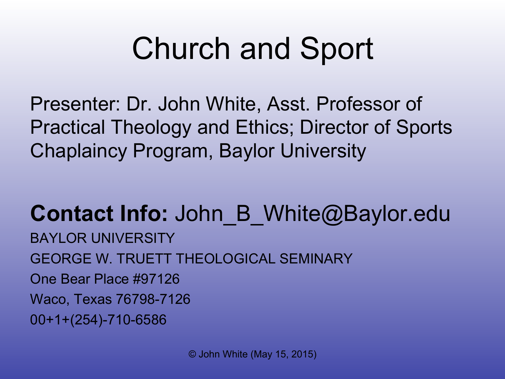## Church and Sport

Presenter: Dr. John White, Asst. Professor of Practical Theology and Ethics; Director of Sports Chaplaincy Program, Baylor University

#### **Contact Info:** John\_B\_White@Baylor.edu

BAYLOR UNIVERSITY GEORGE W. TRUETT THEOLOGICAL SEMINARY One Bear Place #97126 Waco, Texas 76798-7126 00+1+(254)-710-6586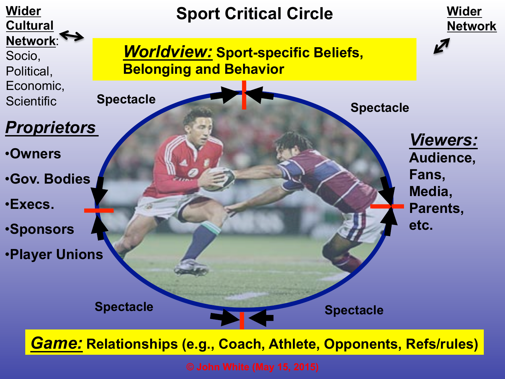

*Game:* **Relationships (e.g., Coach, Athlete, Opponents, Refs/rules)**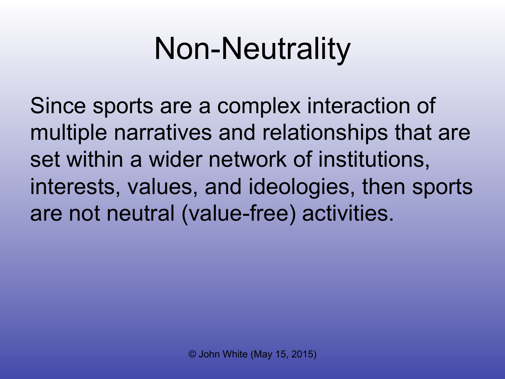# Non-Neutrality

Since sports are a complex interaction of multiple narratives and relationships that are set within a wider network of institutions, interests, values, and ideologies, then sports are not neutral (value-free) activities.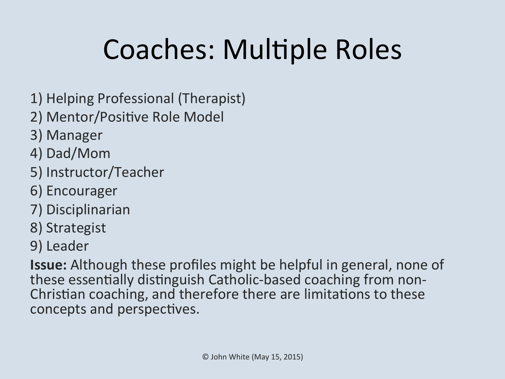#### Coaches: Multiple Roles

- 1) Helping Professional (Therapist)
- 2) Mentor/Positive Role Model
- 3) Manager
- 4) Dad/Mom
- 5) Instructor/Teacher
- 6) Encourager
- 7) Disciplinarian
- 8) Strategist
- 9) Leader

**Issue:** Although these profiles might be helpful in general, none of these essentially distinguish Catholic-based coaching from non-Christian coaching, and therefore there are limitations to these concepts and perspectives.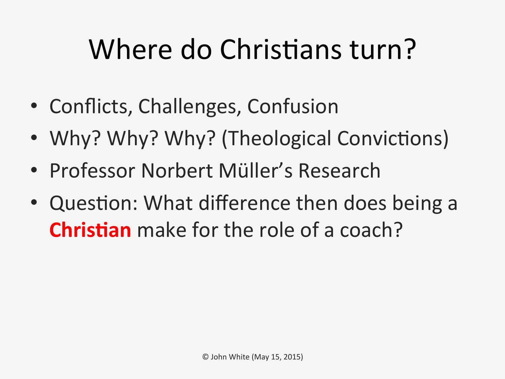### Where do Christians turn?

- Conflicts, Challenges, Confusion
- Why? Why? Why? (Theological Convictions)
- Professor Norbert Müller's Research
- Question: What difference then does being a **Christian** make for the role of a coach?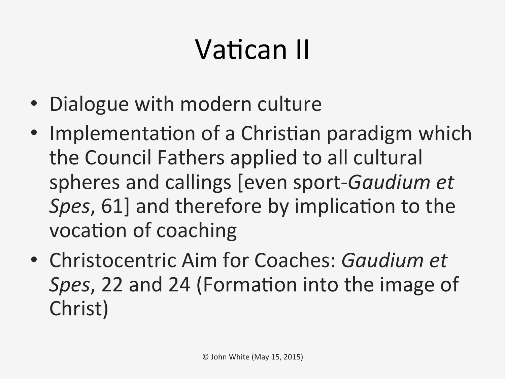## Vatican II

- Dialogue with modern culture
- Implementation of a Christian paradigm which the Council Fathers applied to all cultural spheres and callings [even sport-*Gaudium et*] *Spes*, 61] and therefore by implication to the vocation of coaching
- Christocentric Aim for Coaches: *Gaudium et Spes*, 22 and 24 (Formation into the image of Christ)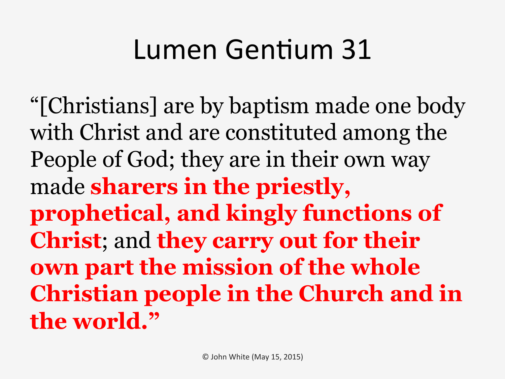#### Lumen Gentium 31

"[Christians] are by baptism made one body with Christ and are constituted among the People of God; they are in their own way made **sharers in the priestly, prophetical, and kingly functions of Christ**; and **they carry out for their own part the mission of the whole Christian people in the Church and in the world."**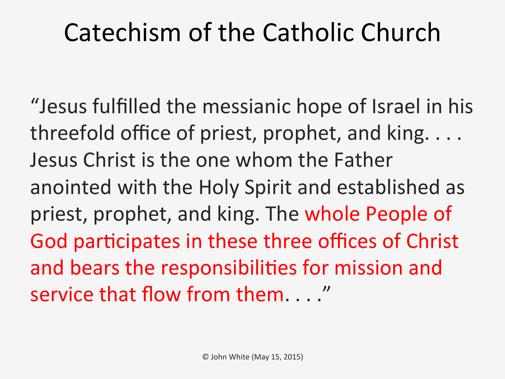#### Catechism of the Catholic Church

"Jesus fulfilled the messianic hope of Israel in his threefold office of priest, prophet, and king.  $\dots$ Jesus Christ is the one whom the Father anointed with the Holy Spirit and established as priest, prophet, and king. The whole People of God participates in these three offices of Christ and bears the responsibilities for mission and service that flow from them...."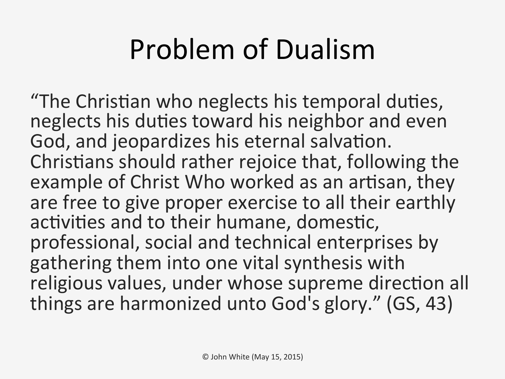#### Problem of Dualism

"The Christian who neglects his temporal duties, neglects his duties toward his neighbor and even God, and jeopardizes his eternal salvation. Christians should rather rejoice that, following the example of Christ Who worked as an artisan, they are free to give proper exercise to all their earthly activities and to their humane, domestic, professional, social and technical enterprises by gathering them into one vital synthesis with religious values, under whose supreme direction all things are harmonized unto God's glory." (GS, 43)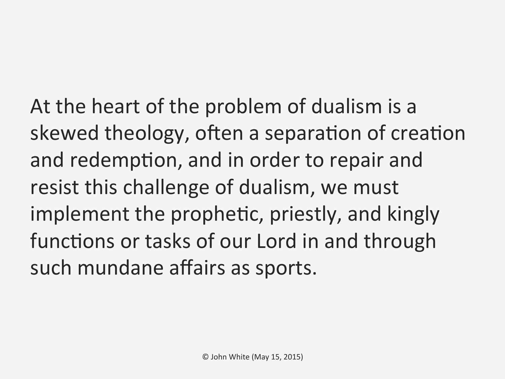At the heart of the problem of dualism is a skewed theology, often a separation of creation and redemption, and in order to repair and resist this challenge of dualism, we must implement the prophetic, priestly, and kingly functions or tasks of our Lord in and through such mundane affairs as sports.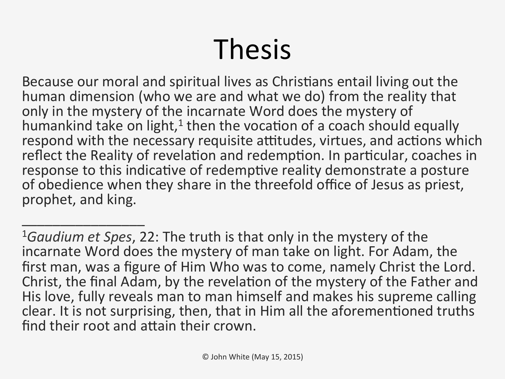#### Thesis

Because our moral and spiritual lives as Christians entail living out the human dimension (who we are and what we do) from the reality that only in the mystery of the incarnate Word does the mystery of humankind take on light, $1$  then the vocation of a coach should equally respond with the necessary requisite attitudes, virtues, and actions which reflect the Reality of revelation and redemption. In particular, coaches in response to this indicative of redemptive reality demonstrate a posture of obedience when they share in the threefold office of Jesus as priest, prophet, and king.

\_\_\_\_\_\_\_\_\_\_\_\_\_\_\_\_ 

<sup>&</sup>lt;sup>1</sup>Gaudium et Spes, 22: The truth is that only in the mystery of the incarnate Word does the mystery of man take on light. For Adam, the first man, was a figure of Him Who was to come, namely Christ the Lord. Christ, the final Adam, by the revelation of the mystery of the Father and His love, fully reveals man to man himself and makes his supreme calling clear. It is not surprising, then, that in Him all the aforementioned truths find their root and attain their crown.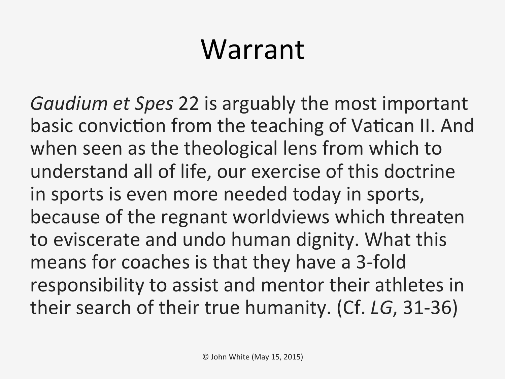#### Warrant

*Gaudium et Spes* 22 is arguably the most important basic conviction from the teaching of Vatican II. And when seen as the theological lens from which to understand all of life, our exercise of this doctrine in sports is even more needed today in sports, because of the regnant worldviews which threaten to eviscerate and undo human dignity. What this means for coaches is that they have a 3-fold responsibility to assist and mentor their athletes in their search of their true humanity. (Cf. *LG*, 31-36)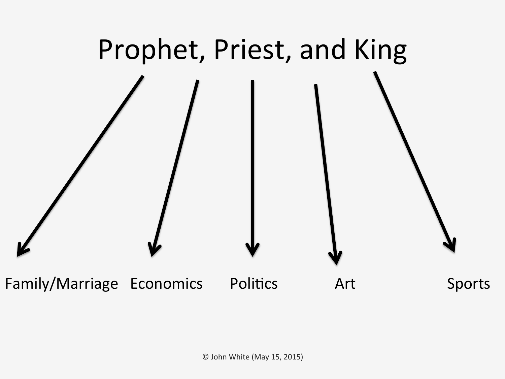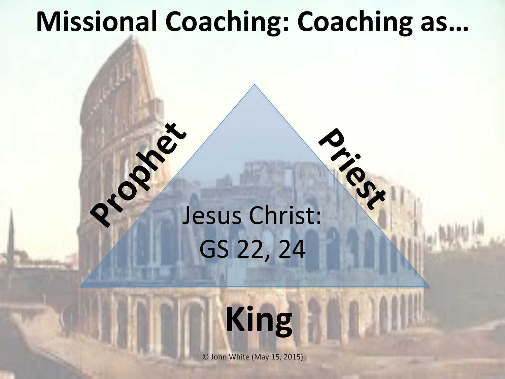#### **Missional Coaching: Coaching as...**

# Rev. Jesus Christ: GS 22, 24

Co.

**King** 

© John White (May 15, 2015)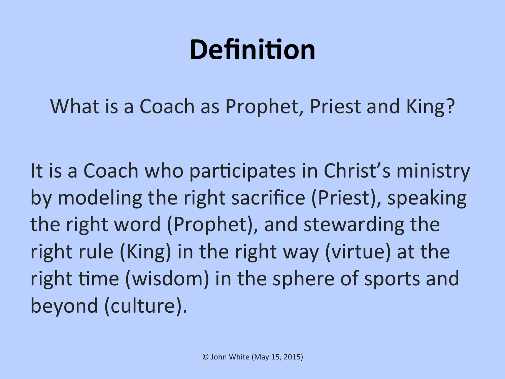#### **Definition**

What is a Coach as Prophet, Priest and King?

It is a Coach who participates in Christ's ministry by modeling the right sacrifice (Priest), speaking the right word (Prophet), and stewarding the right rule (King) in the right way (virtue) at the right time (wisdom) in the sphere of sports and beyond (culture).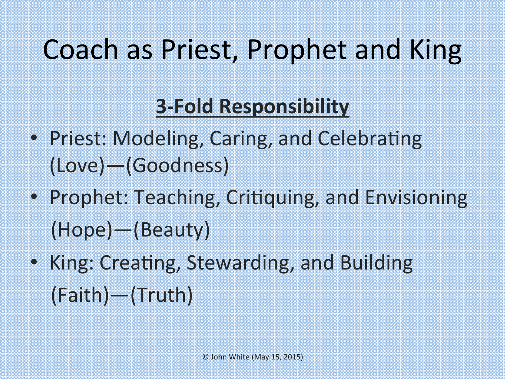## Coach as Priest, Prophet and King

#### **3-Fold Responsibility**

- Priest: Modeling, Caring, and Celebrating (Love)—(Goodness)
- Prophet: Teaching, Critiquing, and Envisioning (Hope)—(Beauty)
- King: Creating, Stewarding, and Building (Faith)—(Truth)